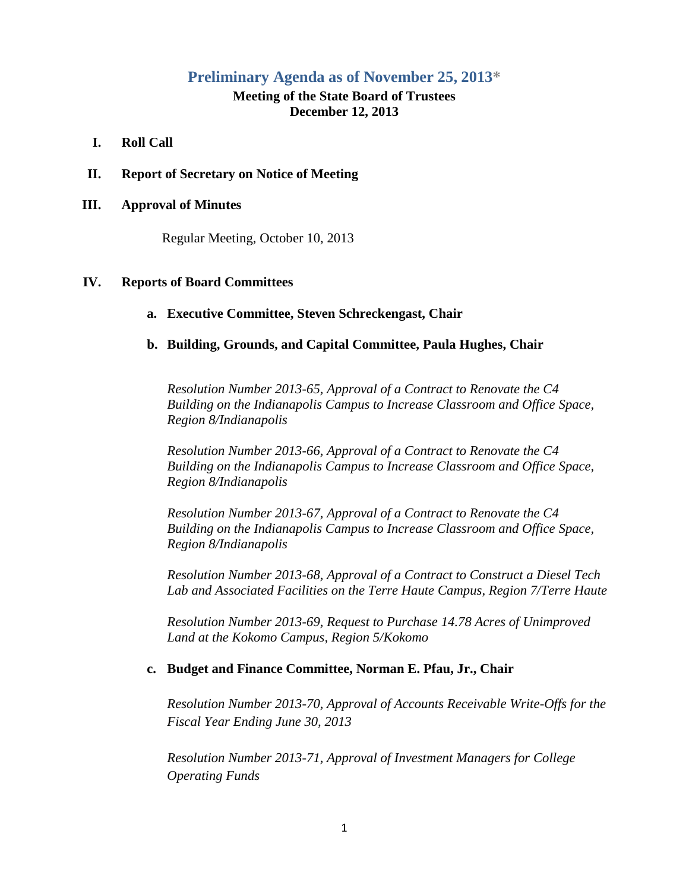# **Preliminary Agenda as of November 25, 2013\***

# **Meeting of the State Board of Trustees December 12, 2013**

### **I. Roll Call**

**II. Report of Secretary on Notice of Meeting**

#### **III. Approval of Minutes**

Regular Meeting, October 10, 2013

#### **IV. Reports of Board Committees**

### **a. Executive Committee, Steven Schreckengast, Chair**

### **b. Building, Grounds, and Capital Committee, Paula Hughes, Chair**

*Resolution Number 2013-65, Approval of a Contract to Renovate the C4 Building on the Indianapolis Campus to Increase Classroom and Office Space, Region 8/Indianapolis*

*Resolution Number 2013-66, Approval of a Contract to Renovate the C4 Building on the Indianapolis Campus to Increase Classroom and Office Space, Region 8/Indianapolis*

*Resolution Number 2013-67, Approval of a Contract to Renovate the C4 Building on the Indianapolis Campus to Increase Classroom and Office Space, Region 8/Indianapolis*

*Resolution Number 2013-68, Approval of a Contract to Construct a Diesel Tech Lab and Associated Facilities on the Terre Haute Campus, Region 7/Terre Haute*

*Resolution Number 2013-69, Request to Purchase 14.78 Acres of Unimproved Land at the Kokomo Campus, Region 5/Kokomo*

#### **c. Budget and Finance Committee, Norman E. Pfau, Jr., Chair**

*Resolution Number 2013-70, Approval of Accounts Receivable Write-Offs for the Fiscal Year Ending June 30, 2013*

*Resolution Number 2013-71, Approval of Investment Managers for College Operating Funds*